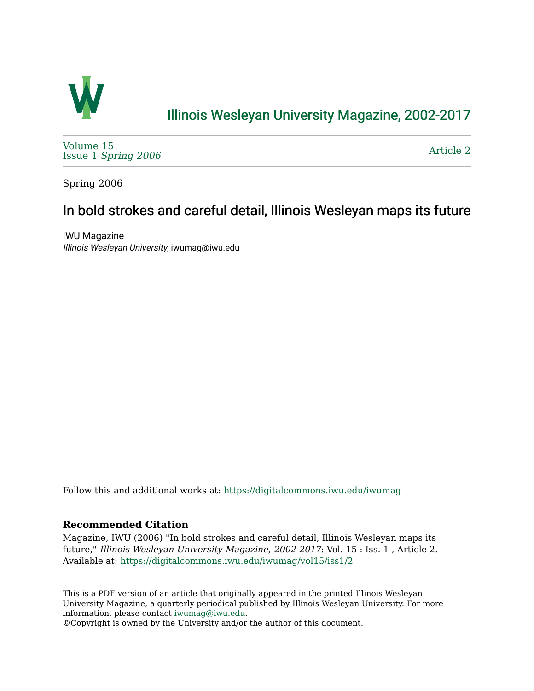

## [Illinois Wesleyan University Magazine, 2002-2017](https://digitalcommons.iwu.edu/iwumag)

[Volume 15](https://digitalcommons.iwu.edu/iwumag/vol15)  Issue 1 [Spring 2006](https://digitalcommons.iwu.edu/iwumag/vol15/iss1)

[Article 2](https://digitalcommons.iwu.edu/iwumag/vol15/iss1/2) 

Spring 2006

## In bold strokes and careful detail, Illinois Wesleyan maps its future

IWU Magazine Illinois Wesleyan University, iwumag@iwu.edu

Follow this and additional works at: [https://digitalcommons.iwu.edu/iwumag](https://digitalcommons.iwu.edu/iwumag?utm_source=digitalcommons.iwu.edu%2Fiwumag%2Fvol15%2Fiss1%2F2&utm_medium=PDF&utm_campaign=PDFCoverPages) 

#### **Recommended Citation**

Magazine, IWU (2006) "In bold strokes and careful detail, Illinois Wesleyan maps its future," Illinois Wesleyan University Magazine, 2002-2017: Vol. 15 : Iss. 1 , Article 2. Available at: [https://digitalcommons.iwu.edu/iwumag/vol15/iss1/2](https://digitalcommons.iwu.edu/iwumag/vol15/iss1/2?utm_source=digitalcommons.iwu.edu%2Fiwumag%2Fvol15%2Fiss1%2F2&utm_medium=PDF&utm_campaign=PDFCoverPages)

This is a PDF version of an article that originally appeared in the printed Illinois Wesleyan University Magazine, a quarterly periodical published by Illinois Wesleyan University. For more information, please contact [iwumag@iwu.edu](mailto:iwumag@iwu.edu).

©Copyright is owned by the University and/or the author of this document.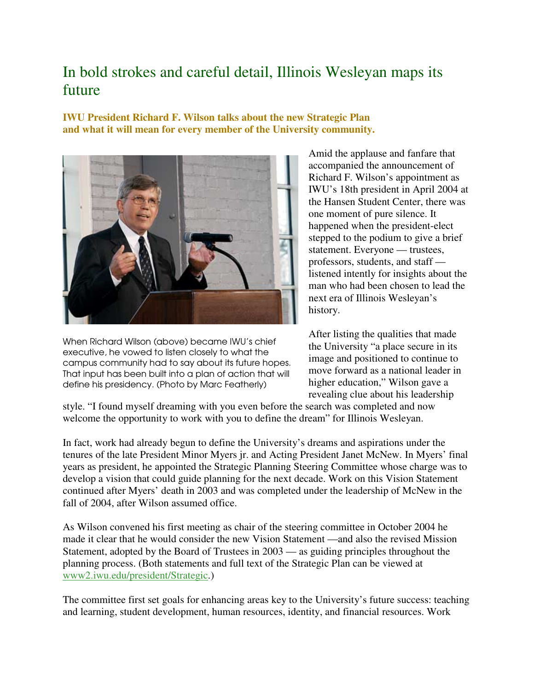# In bold strokes and careful detail, Illinois Wesleyan maps its future

**IWU President Richard F. Wilson talks about the new Strategic Plan and what it will mean for every member of the University community.** 



When Richard Wilson (above) became IWU's chief executive, he vowed to listen closely to what the campus community had to say about its future hopes. That input has been built into a plan of action that will define his presidency. (Photo by Marc Featherly)

Amid the applause and fanfare that accompanied the announcement of Richard F. Wilson's appointment as IWU's 18th president in April 2004 at the Hansen Student Center, there was one moment of pure silence. It happened when the president-elect stepped to the podium to give a brief statement. Everyone — trustees, professors, students, and staff listened intently for insights about the man who had been chosen to lead the next era of Illinois Wesleyan's history.

After listing the qualities that made the University "a place secure in its image and positioned to continue to move forward as a national leader in higher education," Wilson gave a revealing clue about his leadership

style. "I found myself dreaming with you even before the search was completed and now welcome the opportunity to work with you to define the dream" for Illinois Wesleyan.

In fact, work had already begun to define the University's dreams and aspirations under the tenures of the late President Minor Myers jr. and Acting President Janet McNew. In Myers' final years as president, he appointed the Strategic Planning Steering Committee whose charge was to develop a vision that could guide planning for the next decade. Work on this Vision Statement continued after Myers' death in 2003 and was completed under the leadership of McNew in the fall of 2004, after Wilson assumed office.

As Wilson convened his first meeting as chair of the steering committee in October 2004 he made it clear that he would consider the new Vision Statement —and also the revised Mission Statement, adopted by the Board of Trustees in 2003 — as guiding principles throughout the planning process. (Both statements and full text of the Strategic Plan can be viewed at www2.iwu.edu/president/Strategic.)

The committee first set goals for enhancing areas key to the University's future success: teaching and learning, student development, human resources, identity, and financial resources. Work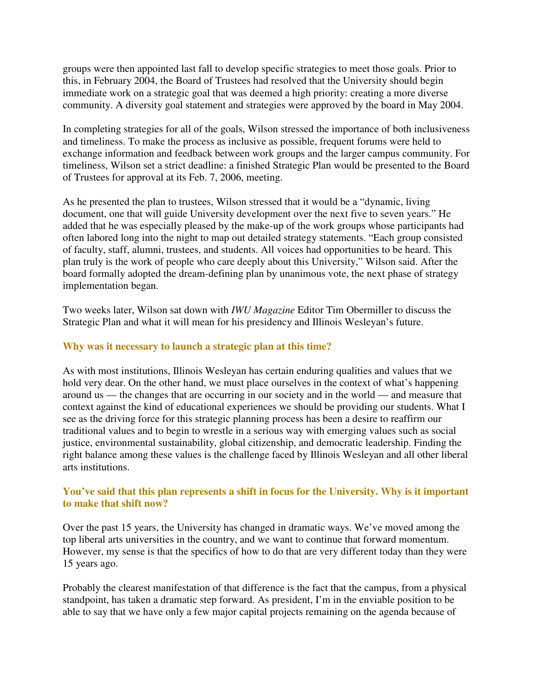groups were then appointed last fall to develop specific strategies to meet those goals. Prior to this, in February 2004, the Board of Trustees had resolved that the University should begin immediate work on a strategic goal that was deemed a high priority: creating a more diverse community. A diversity goal statement and strategies were approved by the board in May 2004.

In completing strategies for all of the goals, Wilson stressed the importance of both inclusiveness and timeliness. To make the process as inclusive as possible, frequent forums were held to exchange information and feedback between work groups and the larger campus community. For timeliness, Wilson set a strict deadline: a finished Strategic Plan would be presented to the Board of Trustees for approval at its Feb. 7, 2006, meeting.

As he presented the plan to trustees, Wilson stressed that it would be a "dynamic, living document, one that will guide University development over the next five to seven years." He added that he was especially pleased by the make-up of the work groups whose participants had often labored long into the night to map out detailed strategy statements. "Each group consisted of faculty, staff, alumni, trustees, and students. All voices had opportunities to be heard. This plan truly is the work of people who care deeply about this University," Wilson said. After the board formally adopted the dream-defining plan by unanimous vote, the next phase of strategy implementation began.

Two weeks later, Wilson sat down with *IWU Magazine* Editor Tim Obermiller to discuss the Strategic Plan and what it will mean for his presidency and Illinois Wesleyan's future.

#### **Why was it necessary to launch a strategic plan at this time?**

As with most institutions, Illinois Wesleyan has certain enduring qualities and values that we hold very dear. On the other hand, we must place ourselves in the context of what's happening around us — the changes that are occurring in our society and in the world — and measure that context against the kind of educational experiences we should be providing our students. What I see as the driving force for this strategic planning process has been a desire to reaffirm our traditional values and to begin to wrestle in a serious way with emerging values such as social justice, environmental sustainability, global citizenship, and democratic leadership. Finding the right balance among these values is the challenge faced by Illinois Wesleyan and all other liberal arts institutions.

### **You've said that this plan represents a shift in focus for the University. Why is it important to make that shift now?**

Over the past 15 years, the University has changed in dramatic ways. We've moved among the top liberal arts universities in the country, and we want to continue that forward momentum. However, my sense is that the specifics of how to do that are very different today than they were 15 years ago.

Probably the clearest manifestation of that difference is the fact that the campus, from a physical standpoint, has taken a dramatic step forward. As president, I'm in the enviable position to be able to say that we have only a few major capital projects remaining on the agenda because of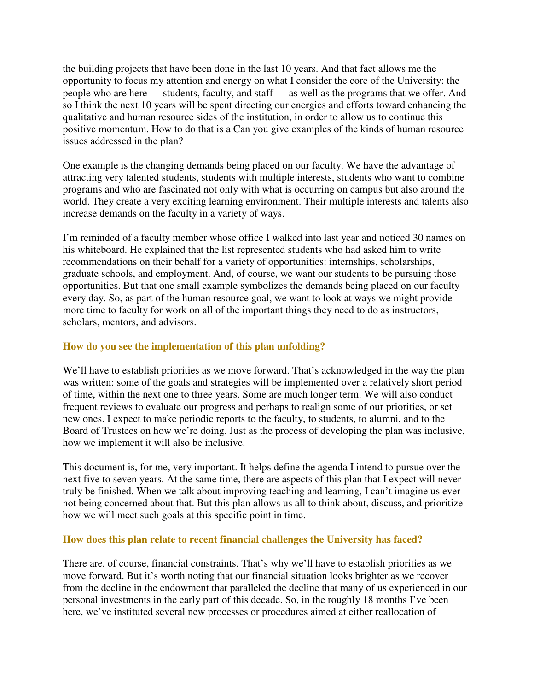the building projects that have been done in the last 10 years. And that fact allows me the opportunity to focus my attention and energy on what I consider the core of the University: the people who are here — students, faculty, and staff — as well as the programs that we offer. And so I think the next 10 years will be spent directing our energies and efforts toward enhancing the qualitative and human resource sides of the institution, in order to allow us to continue this positive momentum. How to do that is a Can you give examples of the kinds of human resource issues addressed in the plan?

One example is the changing demands being placed on our faculty. We have the advantage of attracting very talented students, students with multiple interests, students who want to combine programs and who are fascinated not only with what is occurring on campus but also around the world. They create a very exciting learning environment. Their multiple interests and talents also increase demands on the faculty in a variety of ways.

I'm reminded of a faculty member whose office I walked into last year and noticed 30 names on his whiteboard. He explained that the list represented students who had asked him to write recommendations on their behalf for a variety of opportunities: internships, scholarships, graduate schools, and employment. And, of course, we want our students to be pursuing those opportunities. But that one small example symbolizes the demands being placed on our faculty every day. So, as part of the human resource goal, we want to look at ways we might provide more time to faculty for work on all of the important things they need to do as instructors, scholars, mentors, and advisors.

#### **How do you see the implementation of this plan unfolding?**

We'll have to establish priorities as we move forward. That's acknowledged in the way the plan was written: some of the goals and strategies will be implemented over a relatively short period of time, within the next one to three years. Some are much longer term. We will also conduct frequent reviews to evaluate our progress and perhaps to realign some of our priorities, or set new ones. I expect to make periodic reports to the faculty, to students, to alumni, and to the Board of Trustees on how we're doing. Just as the process of developing the plan was inclusive, how we implement it will also be inclusive.

This document is, for me, very important. It helps define the agenda I intend to pursue over the next five to seven years. At the same time, there are aspects of this plan that I expect will never truly be finished. When we talk about improving teaching and learning, I can't imagine us ever not being concerned about that. But this plan allows us all to think about, discuss, and prioritize how we will meet such goals at this specific point in time.

#### **How does this plan relate to recent financial challenges the University has faced?**

There are, of course, financial constraints. That's why we'll have to establish priorities as we move forward. But it's worth noting that our financial situation looks brighter as we recover from the decline in the endowment that paralleled the decline that many of us experienced in our personal investments in the early part of this decade. So, in the roughly 18 months I've been here, we've instituted several new processes or procedures aimed at either reallocation of